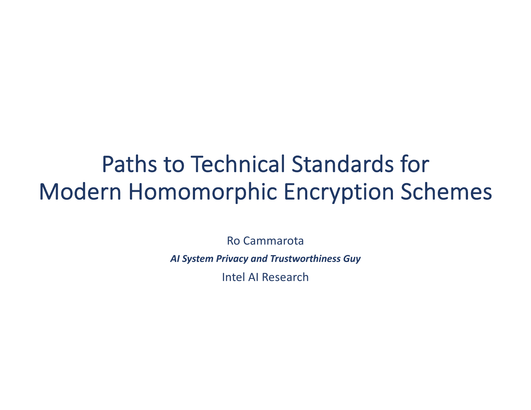# Paths to Technical Standards for Modern Homomorphic Encryption Schemes

Ro Cammarota *AI System Privacy and Trustworthiness Guy* Intel AI Research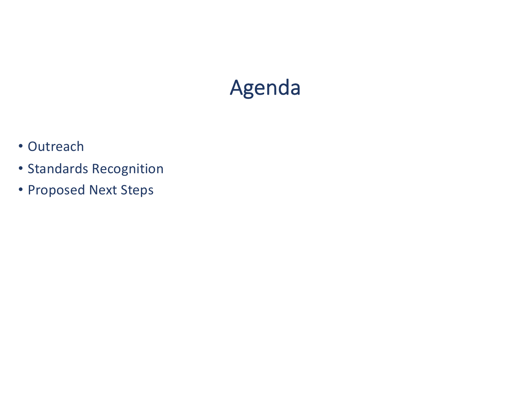## Agenda

- Outreach
- Standards Recognition
- Proposed Next Steps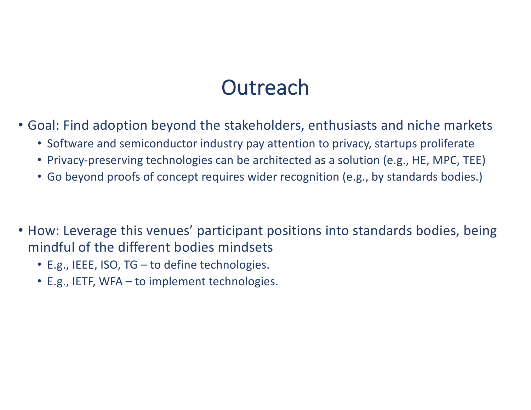#### **Outreach**

- Goal: Find adoption beyond the stakeholders, enthusiasts and niche markets
	- Software and semiconductor industry pay attention to privacy, startups proliferate
	- Privacy-preserving technologies can be architected as a solution (e.g., HE, MPC, TEE)
	- Go beyond proofs of concept requires wider recognition (e.g., by standards bodies.)
- How: Leverage this venues' participant positions into standards bodies, being mindful of the different bodies mindsets
	- E.g., IEEE, ISO, TG to define technologies.
	- E.g., IETF, WFA to implement technologies.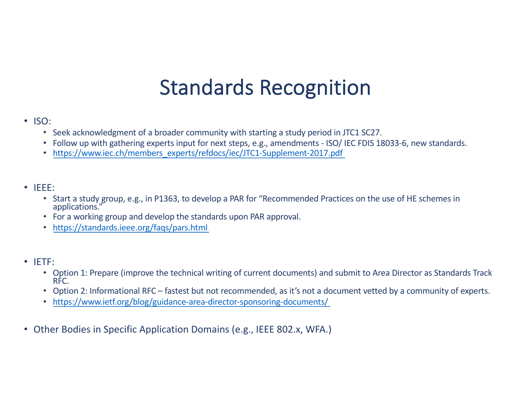### Standards Recognition

- ISO:
	- Seek acknowledgment of a broader community with starting a study period in JTC1 SC27.
	- Follow up with gathering experts input for next steps, e.g., amendments ISO/ IEC FDIS 18033-6, new standards.
	- [https://www.iec.ch/members\\_experts/refdocs/iec/JTC1-Supplement-2017.pd](https://www.iec.ch/members_experts/refdocs/iec/JTC1-Supplement-2017.pdf)f
- IEEE:
	- Start a study group, e.g., in P1363, to develop a PAR for "Recommended Practices on the use of HE schemes in applications."
	- For a working group and develop the standards upon PAR approval.
	- [https://standards.ieee.org/faqs/pars.htm](https://standards.ieee.org/faqs/pars.html)l
- IETF:
	- Option 1: Prepare (improve the technical writing of current documents) and submit to Area Director as Standards Track RFC.
	- Option 2: Informational RFC fastest but not recommended, as it's not a document vetted by a community of experts.
	- [https://www.ietf.org/blog/guidance-area-director-sponsoring-documents](https://www.ietf.org/blog/guidance-area-director-sponsoring-documents/)/
- Other Bodies in Specific Application Domains (e.g., IEEE 802.x, WFA.)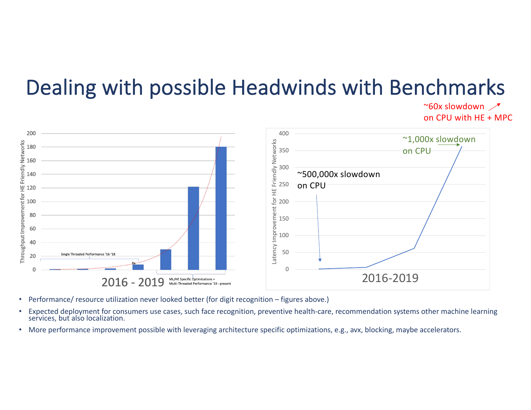## Dealing with possible Headwinds with Benchmarks

 $\sim$ 60x slowdown  $\sim$ on CPU with HE + MPC



- Performance/ resource utilization never looked better (for digit recognition figures above.)
- Expected deployment for consumers use cases, such face recognition, preventive health-care, recommendation systems other machine learning services, but also localization.
- More performance improvement possible with leveraging architecture specific optimizations, e.g., avx, blocking, maybe accelerators.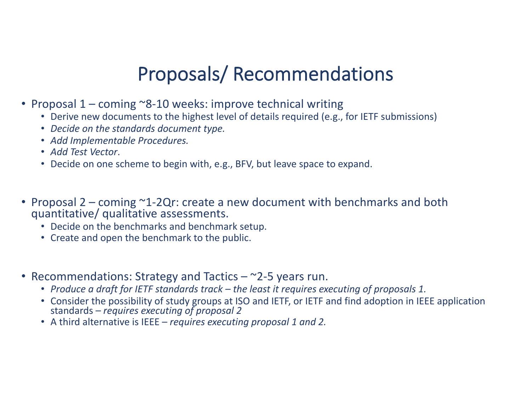#### Proposals/ Recommendations

- Proposal 1 coming ~8-10 weeks: improve technical writing
	- Derive new documents to the highest level of details required (e.g., for IETF submissions)
	- *Decide on the standards document type.*
	- *Add Implementable Procedures.*
	- *Add Test Vector*.
	- Decide on one scheme to begin with, e.g., BFV, but leave space to expand.
- Proposal 2 coming ~1-2Qr: create a new document with benchmarks and both quantitative/ qualitative assessments.
	- Decide on the benchmarks and benchmark setup.
	- Create and open the benchmark to the public.
- Recommendations: Strategy and Tactics  $-\infty$ 2-5 years run.
	- *Produce a draft for IETF standards track – the least it requires executing of proposals 1.*
	- Consider the possibility of study groups at ISO and IETF, or IETF and find adoption in IEEE application standards – *requires executing of proposal 2*
	- A third alternative is IEEE *requires executing proposal 1 and 2.*